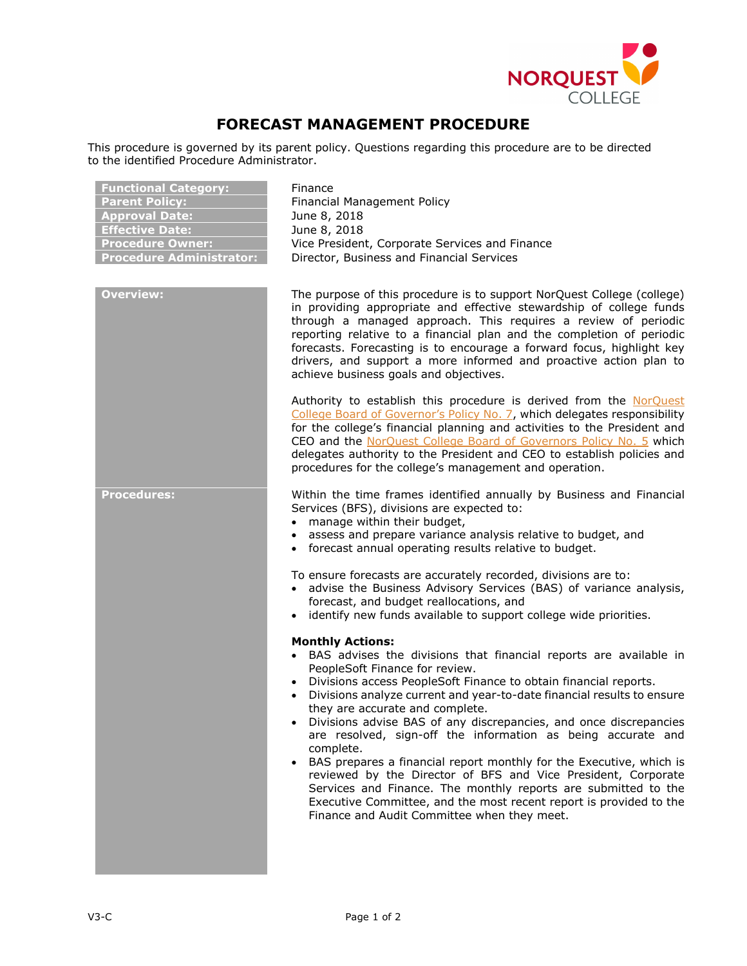

## **FORECAST MANAGEMENT PROCEDURE**

This procedure is governed by its parent policy. Questions regarding this procedure are to be directed to the identified Procedure Administrator.

| <b>Functional Category:</b><br><b>Parent Policy:</b><br><b>Approval Date:</b><br><b>Effective Date:</b><br><b>Procedure Owner:</b><br><b>Procedure Administrator:</b> | Finance<br>Financial Management Policy<br>June 8, 2018<br>June 8, 2018<br>Vice President, Corporate Services and Finance<br>Director, Business and Financial Services                                                                                                                                                                                                                                                                                                                                                                                                                                                                                                                                                                                                                            |
|-----------------------------------------------------------------------------------------------------------------------------------------------------------------------|--------------------------------------------------------------------------------------------------------------------------------------------------------------------------------------------------------------------------------------------------------------------------------------------------------------------------------------------------------------------------------------------------------------------------------------------------------------------------------------------------------------------------------------------------------------------------------------------------------------------------------------------------------------------------------------------------------------------------------------------------------------------------------------------------|
| <b>Overview:</b>                                                                                                                                                      | The purpose of this procedure is to support NorQuest College (college)<br>in providing appropriate and effective stewardship of college funds<br>through a managed approach. This requires a review of periodic<br>reporting relative to a financial plan and the completion of periodic<br>forecasts. Forecasting is to encourage a forward focus, highlight key<br>drivers, and support a more informed and proactive action plan to<br>achieve business goals and objectives.                                                                                                                                                                                                                                                                                                                 |
|                                                                                                                                                                       | Authority to establish this procedure is derived from the NorQuest<br>College Board of Governor's Policy No. 7, which delegates responsibility<br>for the college's financial planning and activities to the President and<br>CEO and the NorQuest College Board of Governors Policy No. 5 which<br>delegates authority to the President and CEO to establish policies and<br>procedures for the college's management and operation.                                                                                                                                                                                                                                                                                                                                                             |
| <b>Procedures:</b>                                                                                                                                                    | Within the time frames identified annually by Business and Financial<br>Services (BFS), divisions are expected to:<br>manage within their budget,<br>assess and prepare variance analysis relative to budget, and<br>• forecast annual operating results relative to budget.<br>To ensure forecasts are accurately recorded, divisions are to:<br>• advise the Business Advisory Services (BAS) of variance analysis,<br>forecast, and budget reallocations, and<br>• identify new funds available to support college wide priorities.                                                                                                                                                                                                                                                           |
|                                                                                                                                                                       | <b>Monthly Actions:</b><br>BAS advises the divisions that financial reports are available in<br>PeopleSoft Finance for review.<br>Divisions access PeopleSoft Finance to obtain financial reports.<br>Divisions analyze current and year-to-date financial results to ensure<br>they are accurate and complete.<br>Divisions advise BAS of any discrepancies, and once discrepancies<br>are resolved, sign-off the information as being accurate and<br>complete.<br>BAS prepares a financial report monthly for the Executive, which is<br>reviewed by the Director of BFS and Vice President, Corporate<br>Services and Finance. The monthly reports are submitted to the<br>Executive Committee, and the most recent report is provided to the<br>Finance and Audit Committee when they meet. |